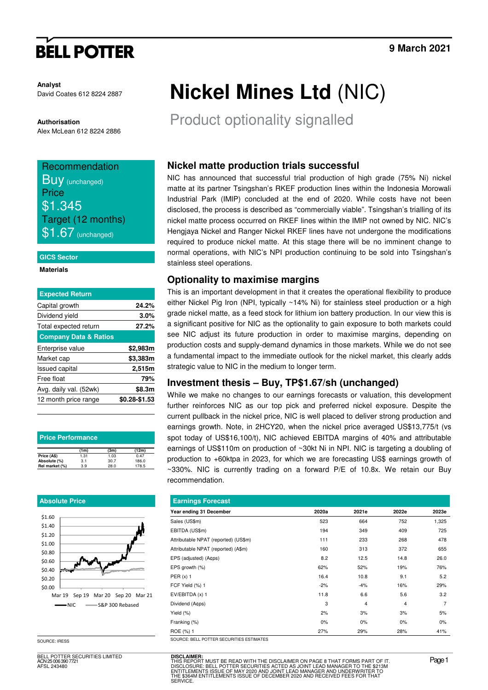# **BELL POTTER**

**Analyst** David Coates 612 8224 2887

### **Authorisation**

Alex McLean 612 8224 2886

# Recommendation **BUV** (unchanged) **Price** \$1.345

Target (12 months)  $$1.67$  (unchanged)

#### **GICS Sector**

#### **Materials**

| <b>Expected Return</b>           |               |
|----------------------------------|---------------|
| Capital growth                   | 24.2%         |
| Dividend yield                   | 3.0%          |
| Total expected return            | 27.2%         |
| <b>Company Data &amp; Ratios</b> |               |
| Enterprise value                 | \$2,983m      |
| Market cap                       | \$3,383m      |
| <b>Issued capital</b>            | 2,515m        |
| Free float                       | 79%           |
| Avg. daily val. (52wk)           | \$8.3m        |
| 12 month price range             | \$0.28-\$1.53 |
|                                  |               |

| <b>Price Performance</b> |      |      |       |  |  |  |  |  |
|--------------------------|------|------|-------|--|--|--|--|--|
|                          | (1m) | (3m) | (12m) |  |  |  |  |  |
| Price (A\$)              | 1.31 | 1.03 | 0.47  |  |  |  |  |  |
| Absolute (%)             | 3.1  | 30.7 | 186.0 |  |  |  |  |  |
| Rel market (%)           | 3.9  | 28.0 | 178.5 |  |  |  |  |  |

### **Absolute Price**



BELL POTTER SECURITIES LIMITED ACN 25 006 390 7721 AFSL 243480

# **Nickel Mines Ltd** (NIC)

Product optionality signalled

## **Nickel matte production trials successful**

NIC has announced that successful trial production of high grade (75% Ni) nickel matte at its partner Tsingshan's RKEF production lines within the Indonesia Morowali Industrial Park (IMIP) concluded at the end of 2020. While costs have not been disclosed, the process is described as "commercially viable". Tsingshan's trialling of its nickel matte process occurred on RKEF lines within the IMIP not owned by NIC. NIC's Hengjaya Nickel and Ranger Nickel RKEF lines have not undergone the modifications required to produce nickel matte. At this stage there will be no imminent change to normal operations, with NIC's NPI production continuing to be sold into Tsingshan's stainless steel operations.

### **Optionality to maximise margins**

This is an important development in that it creates the operational flexibility to produce either Nickel Pig Iron (NPI, typically ~14% Ni) for stainless steel production or a high grade nickel matte, as a feed stock for lithium ion battery production. In our view this is a significant positive for NIC as the optionality to gain exposure to both markets could see NIC adjust its future production in order to maximise margins, depending on production costs and supply-demand dynamics in those markets. While we do not see a fundamental impact to the immediate outlook for the nickel market, this clearly adds strategic value to NIC in the medium to longer term.

### **Investment thesis – Buy, TP\$1.67/sh (unchanged)**

While we make no changes to our earnings forecasts or valuation, this development further reinforces NIC as our top pick and preferred nickel exposure. Despite the current pullback in the nickel price, NIC is well placed to deliver strong production and earnings growth. Note, in 2HCY20, when the nickel price averaged US\$13,775/t (vs spot today of US\$16,100/t), NIC achieved EBITDA margins of 40% and attributable earnings of US\$110m on production of ~30kt Ni in NPI. NIC is targeting a doubling of production to +60ktpa in 2023, for which we are forecasting US\$ earnings growth of ~330%. NIC is currently trading on a forward P/E of 10.8x. We retain our Buy recommendation.

| <b>Earnings Forecast</b>             |       |       |                |       |  |  |  |  |
|--------------------------------------|-------|-------|----------------|-------|--|--|--|--|
| Year ending 31 December              | 2020a | 2021e | 2022e          | 2023e |  |  |  |  |
| Sales (US\$m)                        | 523   | 664   | 752            | 1,325 |  |  |  |  |
| EBITDA (US\$m)                       | 194   | 349   | 409            | 725   |  |  |  |  |
| Attributable NPAT (reported) (US\$m) | 111   | 233   | 268            | 478   |  |  |  |  |
| Attributable NPAT (reported) (A\$m)  | 160   | 313   | 372            | 655   |  |  |  |  |
| EPS (adjusted) (A¢ps)                | 8.2   | 12.5  | 14.8           | 26.0  |  |  |  |  |
| EPS growth (%)                       | 62%   | 52%   | 19%            | 76%   |  |  |  |  |
| PER $(x)$ 1                          | 16.4  | 10.8  | 9.1            | 5.2   |  |  |  |  |
| FCF Yield (%) 1                      | $-2%$ | $-4%$ | 16%            | 29%   |  |  |  |  |
| EV/EBITDA (x) 1                      | 11.8  | 6.6   | 5.6            | 3.2   |  |  |  |  |
| Dividend (A¢ps)                      | 3     | 4     | $\overline{4}$ | 7     |  |  |  |  |
| Yield $(\%)$                         | 2%    | 3%    | 3%             | 5%    |  |  |  |  |
| Franking (%)                         | 0%    | $0\%$ | 0%             | $0\%$ |  |  |  |  |
| ROE (%) 1                            | 27%   | 29%   | 28%            | 41%   |  |  |  |  |

SOURCE: IRESS SOURCE: IRESS SOURCE: BELL POTTER SECURITIES ESTIMATES

**DISCLAIMER:** THIS REPORT MUST BE READ WITH THE DISCLAIMER ON PAGE 8 THAT FORMS PART OF IT.<br>DISCLOSURE: BELL POTTER SECURITIES ACTED AS JOINT LEAD MANAGER TO THE \$2131M<br>ENTITLEMENTS ISSUE OF MAY 2020 AND JOINT LEAD MANAGER AND UNDERWRIT STICH ON FINOST DE THEN WITH THE DISCULTINE IT ON TAIL O THAT TURNING TAIT OF SECURITIES ACTED AS JOINT LEAD MANAGER TO THE \$21<br>ITLEMENTS ISSUE OF MAY 2020 AND JOINT LEAD MANAGER AND UNDERWRITER TO<br>1,\$364M ENTITLEMENTS ISS **SERVICE**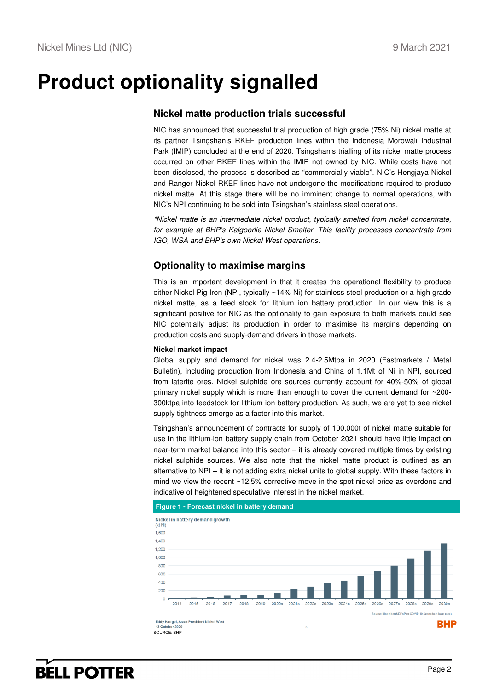# **Product optionality signalled**

### **Nickel matte production trials successful**

NIC has announced that successful trial production of high grade (75% Ni) nickel matte at its partner Tsingshan's RKEF production lines within the Indonesia Morowali Industrial Park (IMIP) concluded at the end of 2020. Tsingshan's trialling of its nickel matte process occurred on other RKEF lines within the IMIP not owned by NIC. While costs have not been disclosed, the process is described as "commercially viable". NIC's Hengjaya Nickel and Ranger Nickel RKEF lines have not undergone the modifications required to produce nickel matte. At this stage there will be no imminent change to normal operations, with NIC's NPI continuing to be sold into Tsingshan's stainless steel operations.

\*Nickel matte is an intermediate nickel product, typically smelted from nickel concentrate, for example at BHP's Kalgoorlie Nickel Smelter. This facility processes concentrate from IGO, WSA and BHP's own Nickel West operations.

### **Optionality to maximise margins**

This is an important development in that it creates the operational flexibility to produce either Nickel Pig Iron (NPI, typically ~14% Ni) for stainless steel production or a high grade nickel matte, as a feed stock for lithium ion battery production. In our view this is a significant positive for NIC as the optionality to gain exposure to both markets could see NIC potentially adjust its production in order to maximise its margins depending on production costs and supply-demand drivers in those markets.

### **Nickel market impact**

Global supply and demand for nickel was 2.4-2.5Mtpa in 2020 (Fastmarkets / Metal Bulletin), including production from Indonesia and China of 1.1Mt of Ni in NPI, sourced from laterite ores. Nickel sulphide ore sources currently account for 40%-50% of global primary nickel supply which is more than enough to cover the current demand for ~200- 300ktpa into feedstock for lithium ion battery production. As such, we are yet to see nickel supply tightness emerge as a factor into this market.

Tsingshan's announcement of contracts for supply of 100,000t of nickel matte suitable for use in the lithium-ion battery supply chain from October 2021 should have little impact on near-term market balance into this sector – it is already covered multiple times by existing nickel sulphide sources. We also note that the nickel matte product is outlined as an alternative to NPI – it is not adding extra nickel units to global supply. With these factors in mind we view the recent ~12.5% corrective move in the spot nickel price as overdone and indicative of heightened speculative interest in the nickel market.





# **BELL POTTER**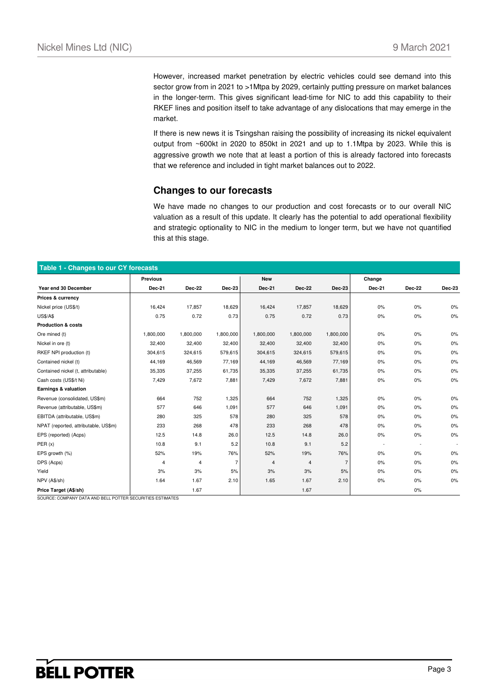However, increased market penetration by electric vehicles could see demand into this sector grow from in 2021 to >1Mtpa by 2029, certainly putting pressure on market balances in the longer-term. This gives significant lead-time for NIC to add this capability to their RKEF lines and position itself to take advantage of any dislocations that may emerge in the market.

If there is new news it is Tsingshan raising the possibility of increasing its nickel equivalent output from ~600kt in 2020 to 850kt in 2021 and up to 1.1Mtpa by 2023. While this is aggressive growth we note that at least a portion of this is already factored into forecasts that we reference and included in tight market balances out to 2022.

### **Changes to our forecasts**

We have made no changes to our production and cost forecasts or to our overall NIC valuation as a result of this update. It clearly has the potential to add operational flexibility and strategic optionality to NIC in the medium to longer term, but we have not quantified this at this stage.

| Table 1 - Changes to our CY forecasts |                 |               |                |            |               |               |                          |        |        |
|---------------------------------------|-----------------|---------------|----------------|------------|---------------|---------------|--------------------------|--------|--------|
|                                       | <b>Previous</b> |               |                | <b>New</b> |               |               | Change                   |        |        |
| Year end 30 December                  | Dec-21          | <b>Dec-22</b> | <b>Dec-23</b>  | Dec-21     | <b>Dec-22</b> | <b>Dec-23</b> | Dec-21                   | Dec-22 | Dec-23 |
| Prices & currency                     |                 |               |                |            |               |               |                          |        |        |
| Nickel price (US\$/t)                 | 16,424          | 17,857        | 18,629         | 16,424     | 17,857        | 18,629        | 0%                       | 0%     | 0%     |
| <b>US\$/A\$</b>                       | 0.75            | 0.72          | 0.73           | 0.75       | 0.72          | 0.73          | $0\%$                    | 0%     | 0%     |
| <b>Production &amp; costs</b>         |                 |               |                |            |               |               |                          |        |        |
| Ore mined (t)                         | 1,800,000       | 1,800,000     | 1,800,000      | 1,800,000  | 1,800,000     | 1,800,000     | 0%                       | 0%     | 0%     |
| Nickel in ore (t)                     | 32,400          | 32,400        | 32,400         | 32,400     | 32,400        | 32,400        | 0%                       | 0%     | 0%     |
| RKEF NPI production (t)               | 304,615         | 324,615       | 579,615        | 304,615    | 324,615       | 579,615       | 0%                       | 0%     | 0%     |
| Contained nickel (t)                  | 44,169          | 46,569        | 77,169         | 44,169     | 46,569        | 77,169        | 0%                       | 0%     | 0%     |
| Contained nickel (t, attributable)    | 35,335          | 37,255        | 61,735         | 35,335     | 37,255        | 61,735        | 0%                       | 0%     | 0%     |
| Cash costs (US\$/t Ni)                | 7,429           | 7,672         | 7,881          | 7,429      | 7,672         | 7,881         | 0%                       | 0%     | 0%     |
| Earnings & valuation                  |                 |               |                |            |               |               |                          |        |        |
| Revenue (consolidated, US\$m)         | 664             | 752           | 1,325          | 664        | 752           | 1,325         | 0%                       | 0%     | 0%     |
| Revenue (attributable, US\$m)         | 577             | 646           | 1,091          | 577        | 646           | 1,091         | 0%                       | 0%     | 0%     |
| EBITDA (attributable, US\$m)          | 280             | 325           | 578            | 280        | 325           | 578           | 0%                       | 0%     | 0%     |
| NPAT (reported, attributable, US\$m)  | 233             | 268           | 478            | 233        | 268           | 478           | 0%                       | 0%     | 0%     |
| EPS (reported) (Acps)                 | 12.5            | 14.8          | 26.0           | 12.5       | 14.8          | 26.0          | $0\%$                    | 0%     | 0%     |
| PER(x)                                | 10.8            | 9.1           | 5.2            | 10.8       | 9.1           | 5.2           | $\overline{\phantom{a}}$ |        |        |
| EPS growth (%)                        | 52%             | 19%           | 76%            | 52%        | 19%           | 76%           | $0\%$                    | 0%     | 0%     |
| DPS (Acps)                            | 4               | 4             | $\overline{7}$ | 4          | 4             | 7             | 0%                       | 0%     | 0%     |
| Yield                                 | 3%              | 3%            | 5%             | 3%         | 3%            | 5%            | $0\%$                    | 0%     | 0%     |
| NPV (A\$/sh)                          | 1.64            | 1.67          | 2.10           | 1.65       | 1.67          | 2.10          | 0%                       | 0%     | 0%     |
| Price Target (A\$/sh)                 |                 | 1.67          |                |            | 1.67          |               |                          | 0%     |        |

SOURCE: COMPANY DATA AND BELL POTTER SECURITIES ESTIMATES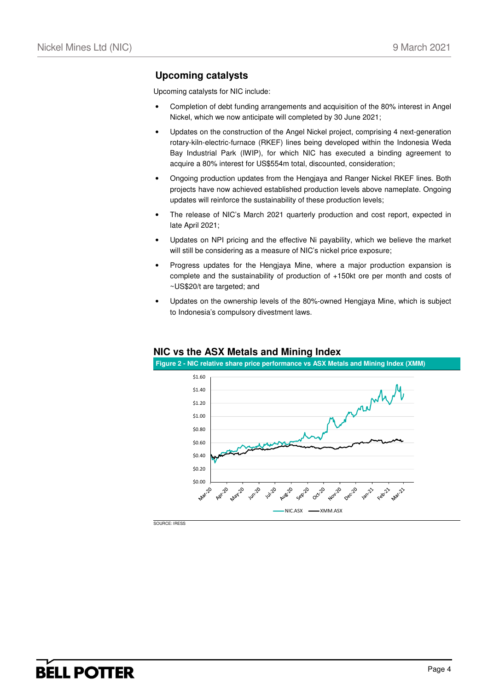### **Upcoming catalysts**

Upcoming catalysts for NIC include:

- Completion of debt funding arrangements and acquisition of the 80% interest in Angel Nickel, which we now anticipate will completed by 30 June 2021;
- Updates on the construction of the Angel Nickel project, comprising 4 next-generation rotary-kiln-electric-furnace (RKEF) lines being developed within the Indonesia Weda Bay Industrial Park (IWIP), for which NIC has executed a binding agreement to acquire a 80% interest for US\$554m total, discounted, consideration;
- Ongoing production updates from the Hengjaya and Ranger Nickel RKEF lines. Both projects have now achieved established production levels above nameplate. Ongoing updates will reinforce the sustainability of these production levels;
- The release of NIC's March 2021 quarterly production and cost report, expected in late April 2021;
- Updates on NPI pricing and the effective Ni payability, which we believe the market will still be considering as a measure of NIC's nickel price exposure;
- Progress updates for the Hengjaya Mine, where a major production expansion is complete and the sustainability of production of +150kt ore per month and costs of ~US\$20/t are targeted; and
- Updates on the ownership levels of the 80%-owned Hengjaya Mine, which is subject to Indonesia's compulsory divestment laws.



### **NIC vs the ASX Metals and Mining Index**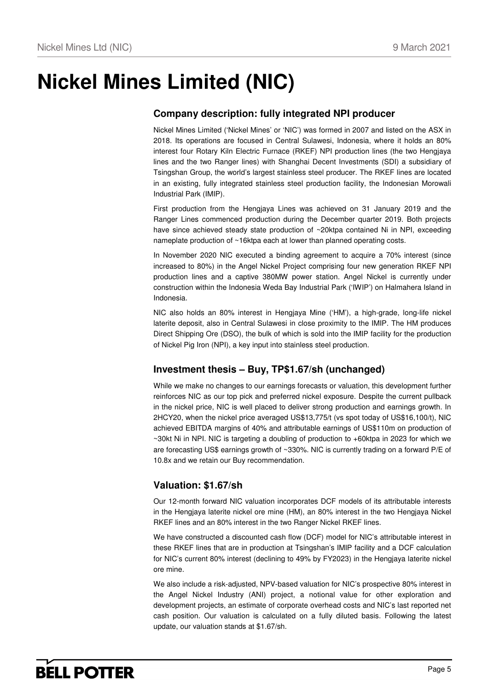# **Nickel Mines Limited (NIC)**

# **Company description: fully integrated NPI producer**

Nickel Mines Limited ('Nickel Mines' or 'NIC') was formed in 2007 and listed on the ASX in 2018. Its operations are focused in Central Sulawesi, Indonesia, where it holds an 80% interest four Rotary Kiln Electric Furnace (RKEF) NPI production lines (the two Hengjaya lines and the two Ranger lines) with Shanghai Decent Investments (SDI) a subsidiary of Tsingshan Group, the world's largest stainless steel producer. The RKEF lines are located in an existing, fully integrated stainless steel production facility, the Indonesian Morowali Industrial Park (IMIP).

First production from the Hengjaya Lines was achieved on 31 January 2019 and the Ranger Lines commenced production during the December quarter 2019. Both projects have since achieved steady state production of ~20ktpa contained Ni in NPI, exceeding nameplate production of ~16ktpa each at lower than planned operating costs.

In November 2020 NIC executed a binding agreement to acquire a 70% interest (since increased to 80%) in the Angel Nickel Project comprising four new generation RKEF NPI production lines and a captive 380MW power station. Angel Nickel is currently under construction within the Indonesia Weda Bay Industrial Park ('IWIP') on Halmahera Island in Indonesia.

NIC also holds an 80% interest in Hengjaya Mine ('HM'), a high-grade, long-life nickel laterite deposit, also in Central Sulawesi in close proximity to the IMIP. The HM produces Direct Shipping Ore (DSO), the bulk of which is sold into the IMIP facility for the production of Nickel Pig Iron (NPI), a key input into stainless steel production.

## **Investment thesis – Buy, TP\$1.67/sh (unchanged)**

While we make no changes to our earnings forecasts or valuation, this development further reinforces NIC as our top pick and preferred nickel exposure. Despite the current pullback in the nickel price, NIC is well placed to deliver strong production and earnings growth. In 2HCY20, when the nickel price averaged US\$13,775/t (vs spot today of US\$16,100/t), NIC achieved EBITDA margins of 40% and attributable earnings of US\$110m on production of ~30kt Ni in NPI. NIC is targeting a doubling of production to +60ktpa in 2023 for which we are forecasting US\$ earnings growth of ~330%. NIC is currently trading on a forward P/E of 10.8x and we retain our Buy recommendation.

### **Valuation: \$1.67/sh**

Our 12-month forward NIC valuation incorporates DCF models of its attributable interests in the Hengjaya laterite nickel ore mine (HM), an 80% interest in the two Hengjaya Nickel RKEF lines and an 80% interest in the two Ranger Nickel RKEF lines.

We have constructed a discounted cash flow (DCF) model for NIC's attributable interest in these RKEF lines that are in production at Tsingshan's IMIP facility and a DCF calculation for NIC's current 80% interest (declining to 49% by FY2023) in the Hengjaya laterite nickel ore mine.

We also include a risk-adjusted, NPV-based valuation for NIC's prospective 80% interest in the Angel Nickel Industry (ANI) project, a notional value for other exploration and development projects, an estimate of corporate overhead costs and NIC's last reported net cash position. Our valuation is calculated on a fully diluted basis. Following the latest update, our valuation stands at \$1.67/sh.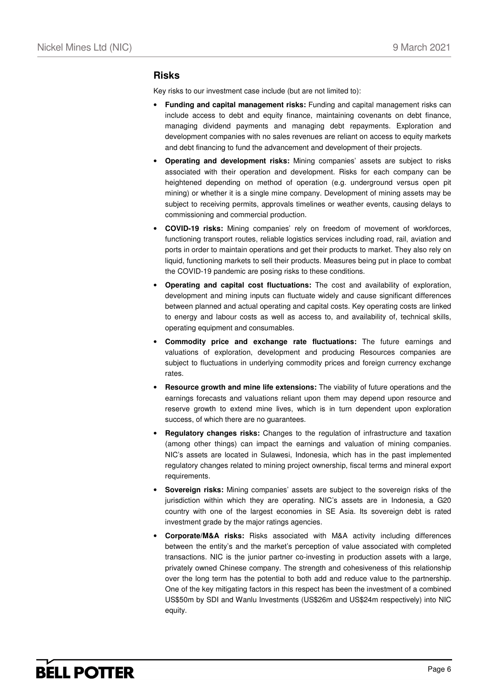### **Risks**

Key risks to our investment case include (but are not limited to):

- **Funding and capital management risks:** Funding and capital management risks can include access to debt and equity finance, maintaining covenants on debt finance, managing dividend payments and managing debt repayments. Exploration and development companies with no sales revenues are reliant on access to equity markets and debt financing to fund the advancement and development of their projects.
- **Operating and development risks:** Mining companies' assets are subject to risks associated with their operation and development. Risks for each company can be heightened depending on method of operation (e.g. underground versus open pit mining) or whether it is a single mine company. Development of mining assets may be subject to receiving permits, approvals timelines or weather events, causing delays to commissioning and commercial production.
- **COVID-19 risks:** Mining companies' rely on freedom of movement of workforces, functioning transport routes, reliable logistics services including road, rail, aviation and ports in order to maintain operations and get their products to market. They also rely on liquid, functioning markets to sell their products. Measures being put in place to combat the COVID-19 pandemic are posing risks to these conditions.
- **Operating and capital cost fluctuations:** The cost and availability of exploration, development and mining inputs can fluctuate widely and cause significant differences between planned and actual operating and capital costs. Key operating costs are linked to energy and labour costs as well as access to, and availability of, technical skills, operating equipment and consumables.
- **Commodity price and exchange rate fluctuations:** The future earnings and valuations of exploration, development and producing Resources companies are subject to fluctuations in underlying commodity prices and foreign currency exchange rates.
- **Resource growth and mine life extensions:** The viability of future operations and the earnings forecasts and valuations reliant upon them may depend upon resource and reserve growth to extend mine lives, which is in turn dependent upon exploration success, of which there are no guarantees.
- **Regulatory changes risks:** Changes to the regulation of infrastructure and taxation (among other things) can impact the earnings and valuation of mining companies. NIC's assets are located in Sulawesi, Indonesia, which has in the past implemented regulatory changes related to mining project ownership, fiscal terms and mineral export requirements.
- **Sovereign risks:** Mining companies' assets are subject to the sovereign risks of the jurisdiction within which they are operating. NIC's assets are in Indonesia, a G20 country with one of the largest economies in SE Asia. Its sovereign debt is rated investment grade by the major ratings agencies.
- **Corporate/M&A risks:** Risks associated with M&A activity including differences between the entity's and the market's perception of value associated with completed transactions. NIC is the junior partner co-investing in production assets with a large, privately owned Chinese company. The strength and cohesiveness of this relationship over the long term has the potential to both add and reduce value to the partnership. One of the key mitigating factors in this respect has been the investment of a combined US\$50m by SDI and Wanlu Investments (US\$26m and US\$24m respectively) into NIC equity.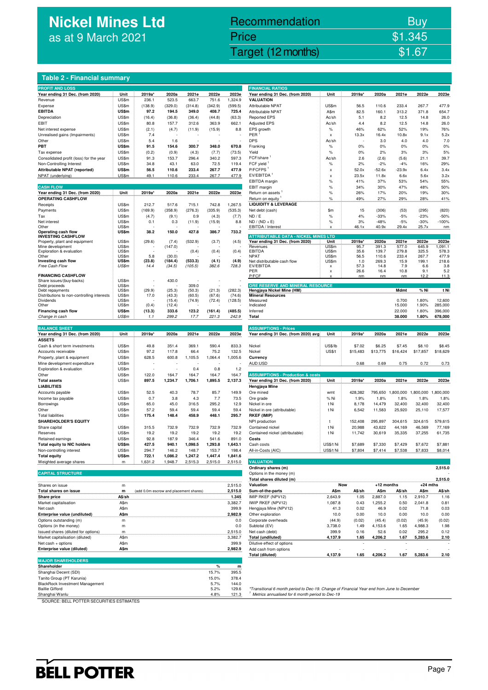# **Nickel Mines Ltd** as at 9 March 2021

# Nickel Mines Ltd (Nickel Mines Ltd (Nickel Mines Ltd (Nickel Mines Ltd (Nickel Mines Ltd Computer) \$1.67 Recommendation Buy Price \$1.345

### **Table 2 - Financial summary**

| <b>PROFIT AND LOSS</b>                     |              |         |                                        |         |         |         | <b>FINANCIAL RATIOS</b>                     |               |                          |            |                   |            |           |
|--------------------------------------------|--------------|---------|----------------------------------------|---------|---------|---------|---------------------------------------------|---------------|--------------------------|------------|-------------------|------------|-----------|
| Year ending 31 Dec. (from 2020)            | Unit         | 2019a*  | 2020a                                  | 2021e   | 2022e   | 2023e   | Year ending 31 Dec. (from 2020)             | Unit          | 2019a'                   | 2020a      | 2021e             | 2022e      | 2023e     |
| Revenue                                    | US\$m        | 236.1   | 523.5                                  | 663.7   | 751.6   | 1,324.9 | <b>VALUATION</b>                            |               |                          |            |                   |            |           |
|                                            |              |         |                                        |         |         |         |                                             |               |                          |            |                   |            |           |
| Expense                                    | US\$m        | (138.9) | (329.0)                                | (314.8) | (342.9) | (599.5) | Attributable NPAT                           | US\$m         | 56.5                     | 110.6      | 233.4             | 267.7      | 477.9     |
| <b>EBITDA</b>                              | US\$m        | 97.2    | 194.5                                  | 349.0   | 408.7   | 725.4   | Attributable NPAT                           | A\$m          | 82.5                     | 160.1      | 313.2             | 371.8      | 654.7     |
| Depreciation                               | US\$m        | (16.4)  | (36.8)                                 | (36.4)  | (44.8)  | (63.3)  | <b>Reported EPS</b>                         | Ac/sh         | 5.1                      | 8.2        | 12.5              | 14.8       | 26.0      |
| EBIT                                       | US\$m        | 80.8    | 157.7                                  | 312.6   | 363.9   | 662.1   | <b>Adjusted EPS</b>                         | Ac/sh         | 4.4                      | 8.2        | 12.5              | 14.8       | 26.0      |
| Net interest expense                       | US\$m        | (2.1)   | (4.7)                                  | (11.9)  | (15.9)  | 8.8     | EPS growth                                  | $\%$          | 46%                      | 62%        | 52%               | 19%        | 76%       |
|                                            |              |         |                                        |         |         |         |                                             |               |                          |            |                   |            |           |
| Unrealised gains (Impairments)             | US\$m        | 7.4     |                                        |         |         |         | PER                                         | x             | 13.3x                    | 16.4x      | 10.8x             | 9.1x       | 5.2x      |
| Other                                      | US\$m        | 5.4     | 1.6                                    |         |         |         | <b>DPS</b>                                  | Ac/sh         |                          | 3.0        | 4.0               | 4.0        | 7.0       |
| PBT                                        | <b>US\$m</b> | 91.5    | 154.6                                  | 300.7   | 348.0   | 670.8   | Franking                                    | $\%$          | 0%                       | 0%         | 0%                | 0%         | 0%        |
| Tax expense                                | US\$m        | (0.2)   | (0.9)                                  | (4.3)   | (7.7)   | (73.5)  | Yield                                       | $\%$          | 0%                       | 2%         | 3%                | 3%         | 5%        |
|                                            |              |         |                                        |         |         |         |                                             |               |                          |            |                   |            |           |
| Consolidated profit (loss) for the year    | US\$m        | 91.3    | 153.7                                  | 296.4   | 340.2   | 597.3   | FCF/share                                   | Ac/sh         | 2.6                      | (2.6)      | (5.6)             | 21.1       | 39.7      |
| Non-Controlling Interest                   | US\$m        | 34.8    | 43.1                                   | 63.0    | 72.5    | 119.4   | FCF yield                                   | $\%$          | 2%                       | $-2%$      | $-4%$             | 16%        | 29%       |
| Attributable NPAT (reported)               | US\$m        | 56.5    | 110.6                                  | 233.4   | 267.7   | 477.9   | P/FCFPS <sup>1</sup>                        | x             | 52.0x                    | $-52.6x$   | $-23.9x$          | 6.4x       | 3.4x      |
| NPAT (underlying)                          | US\$m        | 49.1    | 110.6                                  | 233.4   | 267.7   | 477.9   | EV/EBITDA                                   | x             | 23.5x                    | 11.8x      | 6.6x              | 5.6x       | 3.2x      |
|                                            |              |         |                                        |         |         |         |                                             |               |                          | 37%        | 53%               | 54%        | 55%       |
|                                            |              |         |                                        |         |         |         | EBITDA margin                               | %             | 41%                      |            |                   |            |           |
| <b>CASH FLOW</b>                           |              |         |                                        |         |         |         | EBIT margin                                 | $\%$          | 34%                      | 30%        | 47%               | 48%        | 50%       |
| Year ending 31 Dec. (from 2020)            | Unit         | 2019a*  | 2020a                                  | 2021e   | 2022e   | 2023e   | Return on assets                            | $\%$          | 26%                      | 17%        | 20%               | 19%        | 30%       |
| <b>OPERATING CASHFLOW</b>                  |              |         |                                        |         |         |         | Return on equity                            | $\%$          | 49%                      | 27%        | 29%               | 28%        | 41%       |
| Receipts                                   | US\$m        | 212.7   | 517.6                                  | 715.1   | 742.8   | 1,267.5 | <b>LIQUIDITY &amp; LEVERAGE</b>             |               |                          |            |                   |            |           |
|                                            |              |         |                                        |         |         |         |                                             |               |                          |            |                   |            |           |
| Payments                                   | US\$m        | (169.9) | (358.9)                                | (276.3) | (335.9) | (535.3) | Net debt (cash)                             | \$m           | 15                       | (306)      | (53)              | (295)      | (820)     |
| Tax                                        | US\$m        | (4.7)   | (9.1)                                  | 0.9     | (4.3)   | (7.7)   | ND / E                                      | %             | 4%                       | $-33%$     | $-5%$             | $-23%$     | $-50%$    |
| Net interest                               | US\$m        | 0.1     | 0.3                                    | (11.9)  | (15.9)  | 8.8     | $ND / (ND + E)$                             | %             | 3%                       | $-48%$     | $-5%$             | $-30%$     | $-100%$   |
| Other                                      | US\$m        |         |                                        |         |         |         | EBITDA / Interest                           | x             | 46.1x                    | 40.9x      | 29.4x             | 25.7x      | nm        |
| Operating cash flow                        | US\$m        | 38.2    | 150.0                                  | 427.8   | 386.7   | 733.2   |                                             |               |                          |            |                   |            |           |
| <b>INVESTING CASHFLOW</b>                  |              |         |                                        |         |         |         | <b>ATTRIBUTABLE DATA - NICKEL MINES LTD</b> |               |                          |            |                   |            |           |
| Property, plant and equipment              | US\$m        | (29.6)  | (7.4)                                  | (532.9) | (3.7)   | (4.5)   | Year ending 31 Dec. (from 2020)             | Unit          | 2019a*                   | 2020a      | 2021e             | 2022e      | 2023e     |
| Mine development                           | US\$m        |         | (147.0)                                |         |         |         | Revenues                                    | US\$m         | 95.7                     | 391.3      | 577.0             | 645.9      | 1,091.1   |
| Exploration & evaluation                   | US\$m        |         |                                        | (0.4)   | (0.4)   | (0.4)   | EBITDA                                      | US\$m         | 35.6                     | 139.7      | 279.8             | 325.5      | 578.3     |
| Other                                      | US\$m        | 5.8     | (30.0)                                 |         |         |         | <b>NPAT</b>                                 | US\$m         | 56.5                     | 110.6      | 233.4             | 267.7      | 477.9     |
|                                            |              |         |                                        | (533.3) |         |         |                                             | US\$m         |                          |            |                   |            | 218.6     |
| Investing cash flow                        | US\$m        | (23.8)  | (184.4)                                |         | (4.1)   | (4.9)   | Net distributable cash flow                 |               | 1.0                      | 269.3      | 15.9              | 199.1      |           |
| Free Cash Flow                             | US\$m        | 14.4    | (34.5)                                 | (105.5) | 382.6   | 728.3   | EV/EBITDA                                   | x             | 57.3                     | 14.8       | 7.9               | 6.6        | 3.8       |
|                                            |              |         |                                        |         |         |         | PER                                         | x             | 26.6                     | 16.4       | 10.8              | 9.1        | 5.2       |
| <b>FINANCING CASHFLOW</b>                  |              |         |                                        |         |         |         | P/FCF                                       | x             | nm                       | nm         | nm                | 12.2       | 11.3      |
| Share issues/(buy-backs)                   | US\$m        |         | 430.0                                  |         |         |         |                                             |               |                          |            |                   |            |           |
| Debt proceeds                              | US\$m        |         |                                        | 309.0   |         |         | ORE RESERVE AND MINERAL RESOURCE            |               |                          |            |                   |            |           |
| Debt repayments                            | US\$m        | (29.9)  | (25.3)                                 | (50.3)  | (21.3)  | (282.3) | Hengjaya Nickel Mine (HM)                   |               |                          |            | Mdmt              | % Ni       | t Ni      |
| Distributions to non-controlling interests | US\$m        | 17.0    | (43.3)                                 | (60.5)  | (67.6)  | (74.6)  | <b>Mineral Resources</b>                    |               |                          |            |                   |            |           |
| Dividends                                  | US\$m        |         | (15.4)                                 | (74.9)  | (72.4)  | (128.5) | Measured                                    |               |                          |            | 0.700             | 1.80%      | 12,600    |
| Other                                      | US\$m        | (0.4)   | (12.4)                                 |         |         |         | Indicated                                   |               |                          |            | 15.000            | 1.90%      | 285,000   |
| Financing cash flow                        | US\$m        | (13.3)  | 333.6                                  | 123.2   | (161.4) | (485.5) | Inferred                                    |               |                          |            | 22.000            | 1.80%      | 396,000   |
| Change in cash                             | US\$m        | 1.1     | 299.2                                  | 17.7    | 221.3   | 242.9   | Total                                       |               |                          |            | 38.000            | 1.80%      | 678,000   |
|                                            |              |         |                                        |         |         |         |                                             |               |                          |            |                   |            |           |
| <b>BALANCE SHEET</b>                       |              |         |                                        |         |         |         | <b>ASSUMPTIONS - Prices</b>                 |               |                          |            |                   |            |           |
|                                            |              |         |                                        |         |         |         |                                             |               |                          |            |                   |            |           |
| Year ending 31 Dec. (from 2020)            | Unit         | 2019a*  | 2020a                                  | 2021e   | 2022e   | 2023e   | Year ending 31 Dec. (from 2020) avg         | Unit          | 2019a*                   | 2020a      | 2021e             | 2022e      | 2023e     |
| <b>ASSETS</b>                              |              |         |                                        |         |         |         |                                             |               |                          |            |                   |            |           |
| Cash & short term investments              | US\$m        | 49.8    | 351.4                                  | 369.1   | 590.4   | 833.3   | Nickel                                      | US\$/lb       | \$7.02                   | \$6.25     | \$7.45            | \$8.10     | \$8.45    |
| Accounts receivable                        | US\$m        | 97.2    | 117.8                                  | 66.4    | 75.2    | 132.5   | Nickel                                      | <b>US\$/t</b> | \$15,483                 | \$13,775   | \$16,424          | \$17,857   | \$18,629  |
|                                            |              |         |                                        |         |         |         |                                             |               |                          |            |                   |            |           |
| Property, plant & equipment                | US\$m        | 628.5   | 600.8                                  | 1,105.5 | 1,064.4 | 1,005.6 | Currency                                    |               |                          |            |                   |            |           |
| Mine development expenditure               | US\$m        |         |                                        |         |         |         | AUD:USD                                     |               | 0.68                     | 0.69       | 0.75              | 0.72       | 0.73      |
| Exploration & evaluation                   | US\$m        | ÷,      | ÷.                                     | 0.4     | 0.8     | 1.2     |                                             |               |                          |            |                   |            |           |
| Other                                      | US\$m        | 122.0   | 164.7                                  | 164.7   | 164.7   | 164.7   | <b>ASSUMPTIONS - Production &amp; costs</b> |               |                          |            |                   |            |           |
|                                            |              |         |                                        |         |         |         |                                             |               |                          |            |                   |            |           |
| <b>Total assets</b>                        | US\$m        | 897.5   | 1,234.7                                | 1,706.1 | 1,895.5 | 2,137.3 | Year ending 31 Dec. (from 2020)             | Unit          | 2019a*                   | 2020a      | 2021e             | 2022e      | 2023e     |
| <b>LIABILITIES</b>                         |              |         |                                        |         |         |         | Hengjaya Mine                               |               |                          |            |                   |            |           |
| Accounts payable                           | US\$m        | 52.5    | 40.3                                   | 78.7    | 85.7    | 149.9   | Ore mined                                   | wmt           | 428,382                  |            | 795,650 1,800,000 | 1,800,000  | 1,800,000 |
| Income tax payable                         | US\$m        | 0.7     | 3.8                                    | 4.3     | 7.7     | 73.5    | Ore grade                                   | % Ni          | 1.9%                     | 1.8%       | 1.8%              | 1.8%       | 1.8%      |
|                                            |              |         |                                        |         |         |         |                                             |               |                          |            |                   |            |           |
| Borrowings                                 | US\$m        | 65.0    | 45.0                                   | 316.5   | 295.2   | 12.9    | Nickel in ore                               | t Ni          | 8,178                    | 14,479     | 32,400            | 32,400     | 32,400    |
| Other                                      | US\$m        | 57.2    | 59.4                                   | 59.4    | 59.4    | 59.4    | Nickel in ore (attributable)                | t Ni          | 6,542                    | 11,583     | 25,920            | 25,110     | 17,577    |
| <b>Total liabilities</b>                   | US\$m        | 175.4   | 148.4                                  | 458.9   | 448.1   | 295.7   | <b>RKEF (IMIP)</b>                          |               |                          |            |                   |            |           |
| <b>SHAREHOLDER'S EQUITY</b>                |              |         |                                        |         |         |         | NPI production                              | t             | 152,408                  | 295,897    | 304,615           | 324.615    | 579.615   |
| Share capital                              | US\$m        | 315.5   | 732.9                                  | 732.9   | 732.9   | 732.9   |                                             | t Ni          |                          |            |                   |            | 77,169    |
|                                            |              |         |                                        |         |         |         | Contained nickel                            |               | 20,988                   | 43,622     | 44,169            | 46,569     |           |
| Reserves                                   | US\$m        | 19.2    | 19.2                                   | 19.2    | 19.2    | 19.2    | Contained nickel (attributable)             | t Ni          | 11,742                   | 30,619     | 35,335            | 37,255     | 61,735    |
| Retained earnings                          | US\$m        | 92.8    | 187.9                                  | 346.4   | 541.6   | 891.0   | Costs                                       |               |                          |            |                   |            |           |
| <b>Total equity to NIC holders</b>         | US\$m        | 427.5   | 940.1                                  | 1,098.5 | 1,293.8 | 1,643.1 | Cash costs                                  | US\$/t Ni     | \$7,689                  | \$7,330    | \$7,429           | \$7,672    | \$7,881   |
| Non-controlling interest                   | US\$m        | 294.7   | 146.2                                  | 148.    | 153.    | 198.4   | All-in-Costs (AIC)                          | US\$/t Ni     | \$7,804                  | \$7,414    | \$7,538           | \$7,833    | \$8,014   |
|                                            |              |         |                                        |         |         |         |                                             |               |                          |            |                   |            |           |
| <b>Total equity</b>                        | US\$m        | 722.1   | 1,086.2                                | 1,247.2 | 1,447.4 | 1,841.6 |                                             |               |                          |            |                   |            |           |
| Weighted average shares                    | m            | 1,631.2 | 1,948.7                                | 2,515.3 | 2,515.0 | 2,515.0 | <b>VALUATION</b>                            |               |                          |            |                   |            |           |
|                                            |              |         |                                        |         |         |         | Ordinary shares (m)                         |               |                          |            |                   |            | 2,515.0   |
| <b>CAPITAL STRUCTURE</b>                   |              |         |                                        |         |         |         | Options in the money (m)                    |               |                          |            |                   |            |           |
|                                            |              |         |                                        |         |         |         | Total shares diluted (m)                    |               |                          |            |                   |            | 2,515.0   |
|                                            |              |         |                                        |         |         |         |                                             |               |                          |            |                   |            |           |
| Shares on issue                            | m            |         |                                        |         |         | 2,515.0 | Valuation                                   |               | Now                      | +12 months |                   | $+24$ mths |           |
| Total shares on issue                      | m            |         | (add 0.0m escrow and placement shares) |         |         | 2,515.0 | Sum-of-the-parts                            | A\$m          | A\$/sh                   | A\$m       | A\$/sh            | A\$m       | A\$/sh    |
| <b>Share price</b>                         | A\$/sh       |         |                                        |         |         | 1.345   | IMIP RKEF (NPV12)                           | 2,643.9       | 1.05                     | 2,887.0    | 1.15              | 2,910.7    | 1.16      |
| Market capitalisation                      | A\$m         |         |                                        |         |         | 3,382.7 | IWIP RKEF (NPV12)                           | 1,087.8       | 0.43                     | 1,255.2    | 0.50              | 2,041.8    | 0.81      |
|                                            |              |         |                                        |         |         |         | Hengjaya Mine (NPV12)                       |               |                          |            |                   |            | 0.03      |
| Net cash                                   | A\$m         |         |                                        |         |         | 399.9   |                                             | 41.3          | 0.02                     | 46.9       | 0.02              | 71.8       |           |
| Enterprise value (undiluted)               | A\$m         |         |                                        |         |         | 2,982.9 | Other exploration                           | 10.0          | 0.00                     | 10.0       | 0.00              | 10.0       | 0.00      |
| Options outstanding (m)                    | m            |         |                                        |         |         | 0.0     | Corporate overheads                         | (44.9)        | (0.02)                   | (45.4)     | (0.02)            | (45.9)     | (0.02)    |
| Options (in the money)                     | m            |         |                                        |         |         | 0.0     | Subtotal (EV)                               | 3,738.0       | 1.49                     | 4,153.6    | 1.65              | 4,988.3    | 1.98      |
|                                            |              |         |                                        |         |         |         |                                             |               |                          |            |                   |            |           |
| Issued shares (diluted for options)        | m            |         |                                        |         |         | 2,515.0 | Net cash (debt)                             | 399.9         | 0.16                     | 52.6       | 0.02              | 295.2      | 0.12      |
| Market capitalisation (diluted)            | A\$m         |         |                                        |         |         | 3,382.7 | Total (undiluted)                           | 4,137.9       | 1.65                     | 4,206.2    | 1.67              | 5,283.6    | 2.10      |
| Net cash + options                         | A\$m         |         |                                        |         |         | 399.9   | Dilutive effect of options                  |               | $\overline{\phantom{a}}$ |            | ٠                 |            |           |
| Enterprise value (diluted)                 | A\$m         |         |                                        |         |         | 2,982.9 | Add cash from options                       |               |                          |            |                   |            |           |
|                                            |              |         |                                        |         |         |         | <b>Total (diluted)</b>                      | 4,137.9       | 1.65                     | 4,206.2    | 1.67              | 5,283.6    | 2.10      |
|                                            |              |         |                                        |         |         |         |                                             |               |                          |            |                   |            |           |
| <b>MAJOR SHAREHOLDERS</b>                  |              |         |                                        |         |         |         |                                             |               |                          |            |                   |            |           |
| Shareholder                                |              |         |                                        |         | %       | m       |                                             |               |                          |            |                   |            |           |
| Shanghai Decent (SDI)                      |              |         |                                        |         | 15.7%   | 395.5   |                                             |               |                          |            |                   |            |           |
| Tanito Group (PT Karunia)                  |              |         |                                        |         | 15.0%   | 378.4   |                                             |               |                          |            |                   |            |           |

| Shareholder                            | %     | m     |  |
|----------------------------------------|-------|-------|--|
| Shanghai Decent (SDI)                  | 15.7% | 395.5 |  |
| Tanito Group (PT Karunia)              | 15.0% | 378.4 |  |
| <b>BlackRock Investment Management</b> | 5.7%  | 144.0 |  |
| <b>Baillie Gifford</b>                 | 5.2%  | 129.6 |  |
| Shanghai Wanlu                         | 4.8%  | 121.3 |  |

| <b>FINANCIAL RATIOS</b>                                          |                    |                        |                 |                  |                               |                    |
|------------------------------------------------------------------|--------------------|------------------------|-----------------|------------------|-------------------------------|--------------------|
| Year ending 31 Dec. (from 2020)                                  | Unit               | 2019a*                 | 2020a           | 2021e            | 2022e                         | 2023e              |
| <b>VALUATION</b>                                                 |                    |                        |                 |                  |                               |                    |
| Attributable NPAT<br>Attributable NPAT                           | US\$m<br>A\$m      | 56.5<br>82.5           | 110.6<br>160.1  | 233.4<br>313.2   | 267.7<br>371.8                | 477.9<br>654.7     |
| <b>Reported EPS</b>                                              | Ac/sh              | 5.1                    | 8.2             | 12.5             | 14.8                          | 26.0               |
| <b>Adjusted EPS</b>                                              | Ac/sh              | 4.4                    | 8.2             | 12.5             | 14.8                          | 26.0               |
| EPS growth                                                       | %                  | 46%                    | 62%             | 52%              | 19%                           | 76%                |
| PER <sup>1</sup>                                                 | x                  | 13.3x                  | 16.4x           | 10.8x            | 9.1x                          | 5.2x               |
| <b>DPS</b>                                                       | Ac/sh              |                        | 3.0             | 4.0              | 4.0                           | 7.0                |
| Franking                                                         | %                  | 0%                     | 0%              | 0%               | 0%                            | 0%                 |
| Yield<br>FCF/share <sup>1</sup>                                  | %<br>Ac/sh         | 0%<br>2.6              | 2%<br>(2.6)     | 3%<br>(5.6)      | 3%<br>21.1                    | 5%<br>39.7         |
| FCF yield <sup>1</sup>                                           | %                  | 2%                     | $-2%$           | $-4%$            | 16%                           | 29%                |
| P/FCFPS <sup>1</sup>                                             | x                  | 52.0x                  | $-52.6x$        | $-23.9x$         | 6.4x                          | 3.4x               |
| EV/EBITDA                                                        | x                  | 23.5x                  | 11.8x           | 6.6x             | 5.6x                          | 3.2x               |
| EBITDA margin                                                    | $\frac{1}{2}$      | 41%                    | 37%             | 53%              | 54%                           | 55%                |
| EBIT margin                                                      | %                  | 34%                    | 30%             | 47%              | 48%                           | 50%                |
| Return on assets                                                 | %                  | 26%                    | 17%             | 20%              | 19%                           | 30%                |
| Return on equity <sup>1</sup><br><b>LIQUIDITY &amp; LEVERAGE</b> | %                  | 49%                    | 27%             | 29%              | 28%                           | 41%                |
| Net debt (cash)                                                  | \$m                | 15                     | (306)           | (53)             | (295)                         | (820)              |
| ND / E                                                           | %                  | 4%                     | $-33%$          | $-5%$            | $-23%$                        | $-50%$             |
| $ND / (ND + E)$                                                  | $\%$               | 3%                     | $-48%$          | $-5%$            | $-30%$                        | -100%              |
| EBITDA / Interest                                                | x                  | 46.1x                  | 40.9x           | 29.4x            | 25.7x                         | nm                 |
| <b>ATTRIBUTABLE DATA - NICKEL MINES LTD</b>                      |                    |                        |                 |                  |                               |                    |
| Year ending 31 Dec. (from 2020)                                  | Unit               | 2019a*                 | 2020a           | 2021e            | 2022e                         | 2023e              |
| Revenues<br><b>FBITDA</b>                                        | US\$m<br>US\$m     | 95.7<br>35.6           | 391.3<br>139.7  | 577.0<br>279.8   | 645.9<br>325.5                | 1,091.1<br>578.3   |
| <b>NPAT</b>                                                      | US\$m              | 56.5                   | 110.6           | 233.4            | 267.7                         | 477.9              |
| Net distributable cash flow                                      | US\$m              | 1.0                    | 269.3           | 15.9             | 199.1                         | 218.6              |
| <b>FV/FBITDA</b><br>PFR                                          | x<br>x             | 57.3                   | 14.8<br>16.4    | 7.9<br>10.8      | 6.6<br>9.1                    | 3.8<br>5.2         |
| P/FCF                                                            | X                  | 26.6<br>n <sub>m</sub> | nm              | nm               | 12.2                          | 11.3               |
|                                                                  |                    |                        |                 |                  |                               |                    |
| ORE RESERVE AND MINERAL RESOURCE<br>Hengjaya Nickel Mine (HM)    |                    |                        |                 | Mdmt             | % Ni                          | t Ni               |
| <b>Mineral Resources</b>                                         |                    |                        |                 |                  |                               |                    |
| Measured                                                         |                    |                        |                 | 0.700            | 1.80%                         | 12,600             |
| Indicated                                                        |                    |                        |                 | 15.000<br>22.000 | 1.90%<br>1.80%                | 285,000<br>396.000 |
| Inferred                                                         |                    |                        |                 |                  |                               |                    |
|                                                                  |                    |                        |                 |                  |                               |                    |
| Total                                                            |                    |                        |                 | 38.000           | 1.80%                         | 678,000            |
| <b>ASSUMPTIONS - Prices</b>                                      |                    |                        |                 |                  |                               |                    |
| Year ending 31 Dec. (from 2020) avg                              | Unit               | 2019a*                 | 2020a           | 2021e            | 2022e                         | 2023e              |
|                                                                  |                    |                        |                 |                  |                               |                    |
| Nickel                                                           | <b>US\$/lb</b>     | \$7.02                 | \$6.25          | \$7.45           | \$8.10                        | \$8.45             |
| Nickel                                                           | <b>US\$/t</b>      | \$15,483               | \$13,775        | \$16,424         | \$17,857                      | \$18,629           |
| Currency                                                         |                    |                        |                 |                  |                               |                    |
| AUD:USD                                                          |                    | 0.68                   | 0.69            | 0.75             | 0.72                          | 0.73               |
| <b>ASSUMPTIONS - Production &amp; costs</b>                      |                    |                        |                 |                  |                               |                    |
| Year ending 31 Dec. (from 2020)                                  | Unit               | 2019a*                 | 2020a           | 2021e            | 2022e                         | 2023e              |
| Hengjaya Mine                                                    |                    |                        |                 |                  |                               |                    |
| Ore mined                                                        | wmt                | 428,382                | 795,650         |                  | 1,800,000 1,800,000 1,800,000 |                    |
| Ore grade                                                        | % Ni               | 1.9%                   | 1.8%            | 1.8%             | 1.8%                          | 1.8%               |
| Nickel in ore                                                    | t Ni               | 8,178                  | 14,479          | 32,400           | 32,400                        | 32,400             |
| Nickel in ore (attributable)<br><b>RKEF (IMIP)</b>               | t Ni               | 6,542                  | 11,583          | 25,920           | 25,110                        | 17,577             |
| NPI production                                                   | t                  | 152,408                | 295,897         | 304,615          | 324,615                       | 579,615            |
| Contained nickel                                                 | t Ni               | 20,988                 | 43,622          | 44,169           | 46,569                        | 77,169             |
| Contained nickel (attributable)                                  | t Ni               | 11,742                 | 30,619          | 35,335           | 37,255                        | 61,735             |
| Costs                                                            |                    |                        |                 |                  |                               |                    |
| Cash costs                                                       | US\$/t Ni          | \$7,689                | \$7,330         | \$7,429          | \$7,672                       | \$7,881            |
| All-in-Costs (AIC)                                               | US\$/t Ni :        | \$7,804                | \$7,414         | \$7,538          | \$7,833                       | \$8,014            |
| <b>VALUATION</b>                                                 |                    |                        |                 |                  |                               |                    |
| Ordinary shares (m)                                              |                    |                        |                 |                  |                               | 2,515.0            |
| Options in the money (m)                                         |                    |                        |                 |                  |                               |                    |
| Total shares diluted (m)                                         |                    | <b>CONTRACTOR</b>      |                 |                  |                               | 2,515.0            |
| Valuation                                                        | Now                |                        | +12 months      |                  | +24 mths                      |                    |
| Sum-of-the-parts A\$m A\$/sh                                     |                    |                        |                 |                  | A\$m A\$/sh A\$m A\$/sh       |                    |
| IMIP RKEF (NPV12)                                                | 2,643.9<br>1,087.8 | 1.05                   | 2,887.0         | 1.15<br>0.50     | 2,910.7<br>2,041.8            | 1.16               |
| IWIP RKEF (NPV12)<br>Hengjaya Mine (NPV12)                       | 41.3               | 0.43<br>0.02           | 1,255.2<br>46.9 | 0.02             | 71.8                          | 0.81<br>0.03       |
| Other exploration                                                | 10.0               | 0.00                   | 10.0            | 0.00             | 10.0                          | 0.00               |
| Corporate overheads                                              | (44.9)             | (0.02)                 | (45.4)          | (0.02)           | (45.9)                        | (0.02)             |
| Subtotal (EV)                                                    | 3,738.0            | 1.49                   | 4,153.6         | 1.65             | 4,988.3                       | 1.98               |
| Net cash (debt)                                                  | 399.9              | 0.16                   | 52.6            | 0.02             | 295.2                         | 0.12               |
| <b>Total (undiluted)</b>                                         | 4,137.9            | 1.65                   | 4,206.2         | 1.67             | 5,283.6                       | 2.10               |
| Dilutive effect of options<br>Add cash from options              |                    |                        |                 |                  |                               |                    |

\*Transitional 6 month period to Dec-19. Change of Financial Year end from June to December Metrics annualised for 6 month period to Dec-19

SOURCE: BELL POTTER SECURITIES ESTIMATES

# **BELL POTTER**